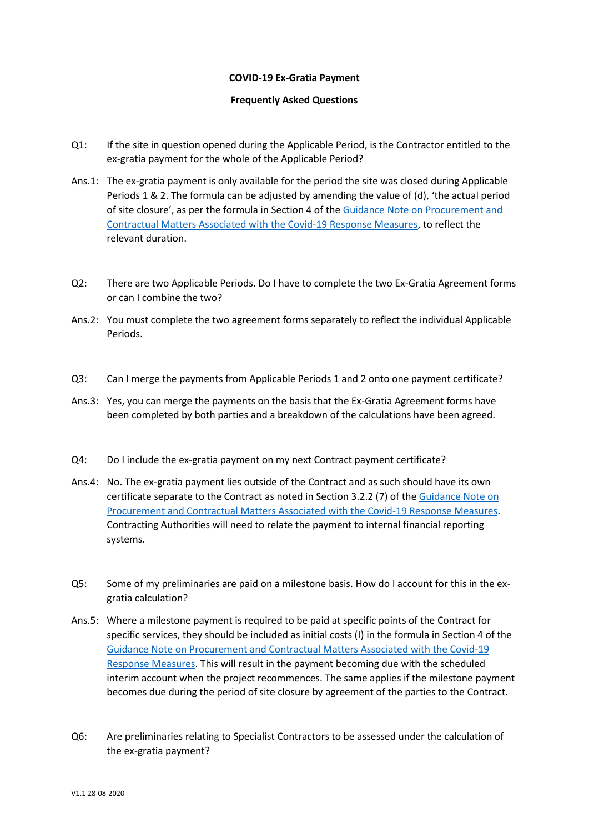## **COVID-19 Ex-Gratia Payment**

## **Frequently Asked Questions**

- Q1: If the site in question opened during the Applicable Period, is the Contractor entitled to the ex-gratia payment for the whole of the Applicable Period?
- Ans.1: The ex-gratia payment is only available for the period the site was closed during Applicable Periods 1 & 2. The formula can be adjusted by amending the value of (d), 'the actual period of site closure', as per the formula in Section 4 of th[e Guidance Note on Procurement and](https://constructionprocurement.gov.ie/wp-content/uploads/CWMF-Update-2-to-Note-on-Covid-19-08-05-2020.docx.pdf)  [Contractual Matters Associated with the Covid-19 Response Measures,](https://constructionprocurement.gov.ie/wp-content/uploads/CWMF-Update-2-to-Note-on-Covid-19-08-05-2020.docx.pdf) to reflect the relevant duration.
- Q2: There are two Applicable Periods. Do I have to complete the two Ex-Gratia Agreement forms or can I combine the two?
- Ans.2: You must complete the two agreement forms separately to reflect the individual Applicable Periods.
- Q3: Can I merge the payments from Applicable Periods 1 and 2 onto one payment certificate?
- Ans.3: Yes, you can merge the payments on the basis that the Ex-Gratia Agreement forms have been completed by both parties and a breakdown of the calculations have been agreed.
- Q4: Do I include the ex-gratia payment on my next Contract payment certificate?
- Ans.4: No. The ex-gratia payment lies outside of the Contract and as such should have its own certificate separate to the Contract as noted in Section 3.2.2 (7) of th[e Guidance Note on](https://constructionprocurement.gov.ie/wp-content/uploads/CWMF-Update-2-to-Note-on-Covid-19-08-05-2020.docx.pdf)  [Procurement and Contractual Matters Associated with the Covid-19 Response Measures.](https://constructionprocurement.gov.ie/wp-content/uploads/CWMF-Update-2-to-Note-on-Covid-19-08-05-2020.docx.pdf) Contracting Authorities will need to relate the payment to internal financial reporting systems.
- Q5: Some of my preliminaries are paid on a milestone basis. How do I account for this in the exgratia calculation?
- Ans.5: Where a milestone payment is required to be paid at specific points of the Contract for specific services, they should be included as initial costs (I) in the formula in Section 4 of the [Guidance Note on Procurement and Contractual Matters Associated with the Covid-19](https://constructionprocurement.gov.ie/wp-content/uploads/CWMF-Update-2-to-Note-on-Covid-19-08-05-2020.docx.pdf)  [Response Measures.](https://constructionprocurement.gov.ie/wp-content/uploads/CWMF-Update-2-to-Note-on-Covid-19-08-05-2020.docx.pdf) This will result in the payment becoming due with the scheduled interim account when the project recommences. The same applies if the milestone payment becomes due during the period of site closure by agreement of the parties to the Contract.
- Q6: Are preliminaries relating to Specialist Contractors to be assessed under the calculation of the ex-gratia payment?